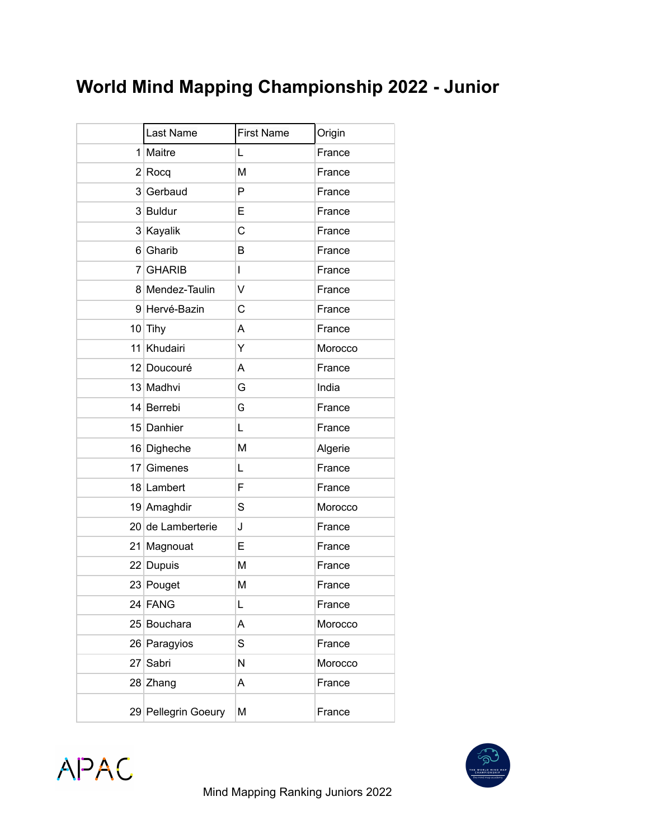## **World Mind Mapping Championship 2022 - Junior**

|    | Last Name           | <b>First Name</b> | Origin  |
|----|---------------------|-------------------|---------|
|    | 1 Maitre            | Г                 | France  |
|    | $2 $ Rocq           | M                 | France  |
|    | 3 Gerbaud           | P                 | France  |
|    | 3 Buldur            | E                 | France  |
|    | 3 Kayalik           | C                 | France  |
|    | 6 Gharib            | В                 | France  |
|    | 7 GHARIB            | L                 | France  |
|    | 8 Mendez-Taulin     | V                 | France  |
|    | 9 Hervé-Bazin       | C                 | France  |
|    | $10$ Tihy           | A                 | France  |
|    | 11 Khudairi         | Υ                 | Morocco |
|    | 12 Doucouré         | A                 | France  |
|    | 13 Madhvi           | G                 | India   |
|    | 14 Berrebi          | G                 | France  |
|    | 15 Danhier          | L                 | France  |
|    | 16 Digheche         | M                 | Algerie |
| 17 | Gimenes             | Г                 | France  |
|    | 18 Lambert          | F                 | France  |
|    | 19 Amaghdir         | S                 | Morocco |
|    | 20 de Lamberterie   | J                 | France  |
|    | 21 Magnouat         | E                 | France  |
|    | 22 Dupuis           | M                 | France  |
|    | 23 Pouget           | M                 | France  |
|    | 24 FANG             | L                 | France  |
|    | 25 Bouchara         | Α                 | Morocco |
|    | 26 Paragyios        | S                 | France  |
|    | 27 Sabri            | N                 | Morocco |
|    | 28 Zhang            | A                 | France  |
|    | 29 Pellegrin Goeury | Μ                 | France  |